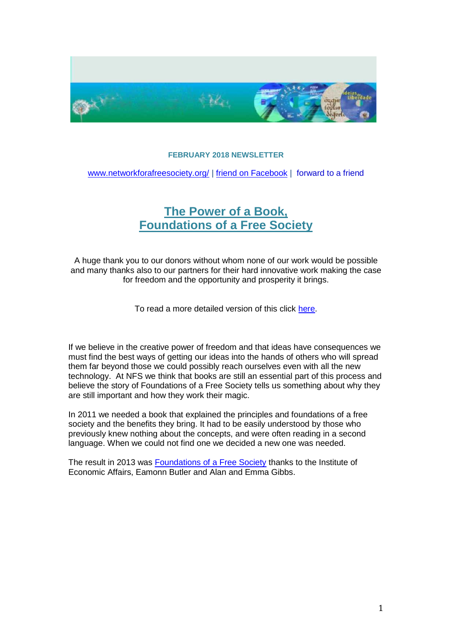

## **FEBRUARY 2018 NEWSLETTER**

[www.networkforafreesociety.org/](file:///C:/Users/Roz/Documents/Linda/www.networkforafreesociety.org/) | [friend on Facebook](https://www.facebook.com/freesociety) | [forward to a friend](http://us6.forward-to-friend1.com/forward?u=a9097c21dbf4b971a3ab947cf&id=bc2dea78b1&e=0aec893c4e)

## **[The Power of a Book,](https://www.networkforafreesociety.org/wp-content/uploads/2018/03/Story-of-Foundations-of-a-Free-Society-Formatted-9.pdf) [Foundations of a Free Society](https://www.networkforafreesociety.org/wp-content/uploads/2018/03/Story-of-Foundations-of-a-Free-Society-Formatted-9.pdf)**

A huge thank you to our donors without whom none of our work would be possible and many thanks also to our partners for their hard innovative work making the case for freedom and the opportunity and prosperity it brings.

To read a more detailed version of this click [here.](https://www.networkforafreesociety.org/wp-content/uploads/2018/03/Story-of-Foundations-of-a-Free-Society-Formatted-9.pdf)

If we believe in the creative power of freedom and that ideas have consequences we must find the best ways of getting our ideas into the hands of others who will spread them far beyond those we could possibly reach ourselves even with all the new technology. At NFS we think that books are still an essential part of this process and believe the story of Foundations of a Free Society tells us something about why they are still important and how they work their magic.

In 2011 we needed a book that explained the principles and foundations of a free society and the benefits they bring. It had to be easily understood by those who previously knew nothing about the concepts, and were often reading in a second language. When we could not find one we decided a new one was needed.

The result in 2013 was [Foundations of a Free Society](https://iea.org.uk/wp-content/uploads/2016/07/IEA%20Foundations%20of%20a%20Free%20Society%20web%2029.10.13_0.pdf) thanks to the Institute of Economic Affairs, Eamonn Butler and Alan and Emma Gibbs.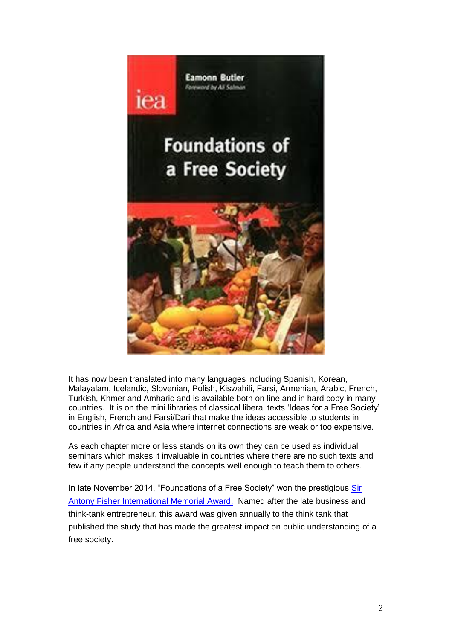

It has now been translated into many languages including Spanish, Korean, Malayalam, Icelandic, Slovenian, Polish, Kiswahili, Farsi, Armenian, Arabic, French, Turkish, Khmer and Amharic and is available both on line and in hard copy in many countries. It is on the mini libraries of classical liberal texts 'Ideas for a Free Society' in English, French and Farsi/Dari that make the ideas accessible to students in countries in Africa and Asia where internet connections are weak or too expensive.

As each chapter more or less stands on its own they can be used as individual seminars which makes it invaluable in countries where there are no such texts and few if any people understand the concepts well enough to teach them to others.

In late November 2014, "Foundations of a Free Society" won the prestigious [Sir](https://www.atlasnetwork.org/news/article/institute-of-economic-affairs-wins-atlas-network-2014-sir-antony-fisher-int)  [Antony Fisher International Memorial Award.](https://www.atlasnetwork.org/news/article/institute-of-economic-affairs-wins-atlas-network-2014-sir-antony-fisher-int) Named after the late business and think-tank entrepreneur, this award was given annually to the think tank that published the study that has made the greatest impact on public understanding of a free society.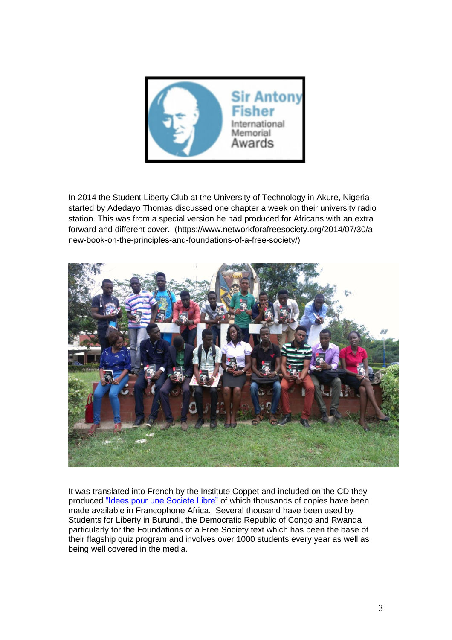

In 2014 the Student Liberty Club at the University of Technology in Akure, Nigeria started by Adedayo Thomas discussed one chapter a week on their university radio station. This was from a special version he had produced for Africans with an extra forward and different cover. (https://www.networkforafreesociety.org/2014/07/30/anew-book-on-the-principles-and-foundations-of-a-free-society/)



It was translated into French by the Institute Coppet and included on the CD they produced ["Idees pour une Societe Libre"](https://www.networkforafreesociety.org/the-texts/translations/french) of which thousands of copies have been made available in Francophone Africa. Several thousand have been used by Students for Liberty in Burundi, the Democratic Republic of Congo and Rwanda particularly for the Foundations of a Free Society text which has been the base of their flagship quiz program and involves over 1000 students every year as well as being well covered in the media.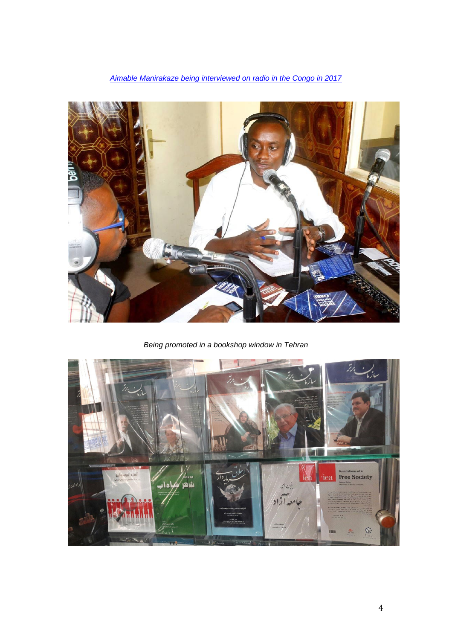## *[Aimable Manirakaze being interviewed on radio in the Congo in 2017](https://www.networkforafreesociety.org/2018/03/06/students-for-liberty-great-lakes-conference-november-2017/)*



*Being promoted in a bookshop window in Tehran*